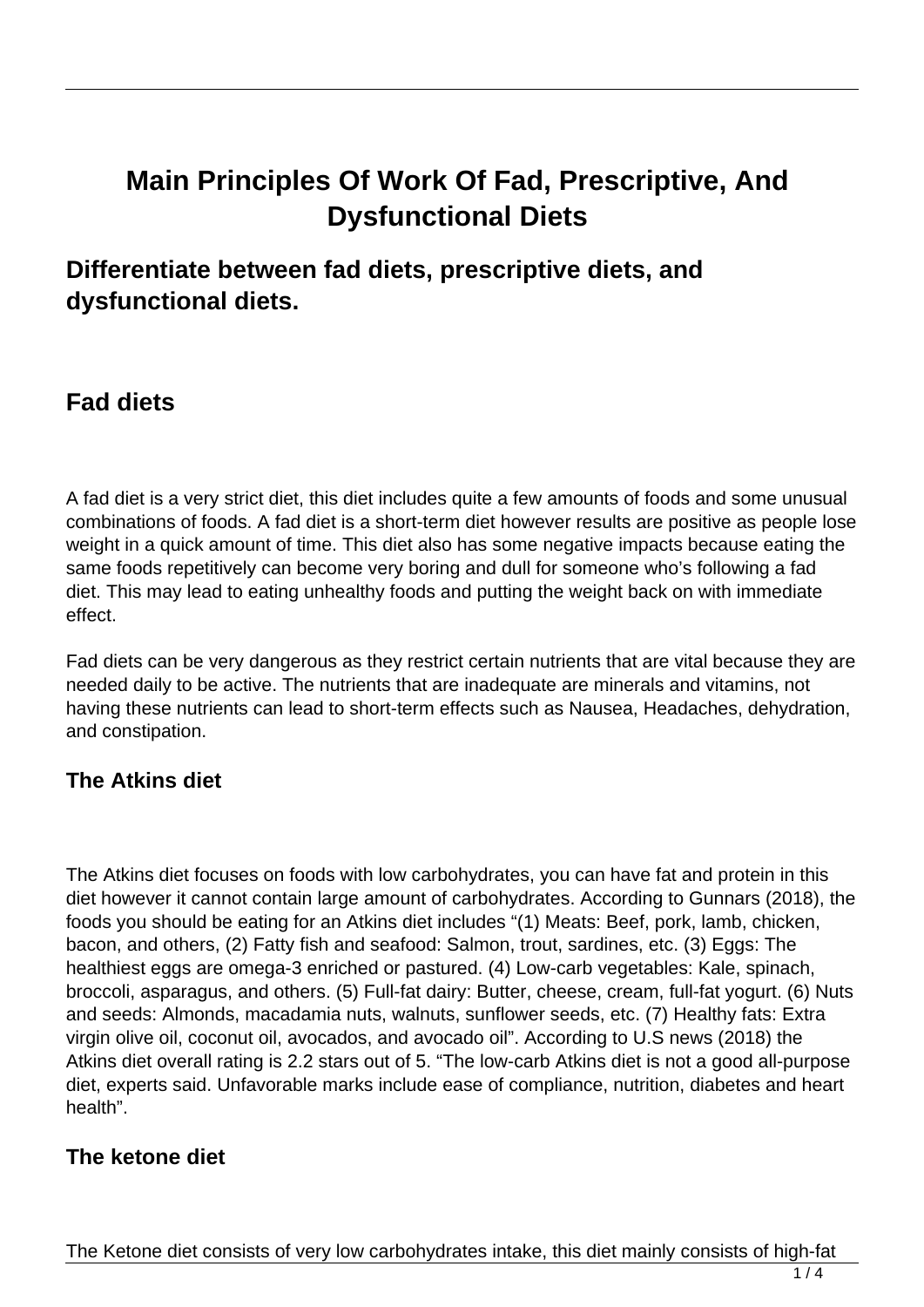# **Main Principles Of Work Of Fad, Prescriptive, And Dysfunctional Diets**

## **Differentiate between fad diets, prescriptive diets, and dysfunctional diets.**

### **Fad diets**

A fad diet is a very strict diet, this diet includes quite a few amounts of foods and some unusual combinations of foods. A fad diet is a short-term diet however results are positive as people lose weight in a quick amount of time. This diet also has some negative impacts because eating the same foods repetitively can become very boring and dull for someone who's following a fad diet. This may lead to eating unhealthy foods and putting the weight back on with immediate effect.

Fad diets can be very dangerous as they restrict certain nutrients that are vital because they are needed daily to be active. The nutrients that are inadequate are minerals and vitamins, not having these nutrients can lead to short-term effects such as Nausea, Headaches, dehydration, and constipation.

#### **The Atkins diet**

The Atkins diet focuses on foods with low carbohydrates, you can have fat and protein in this diet however it cannot contain large amount of carbohydrates. According to Gunnars (2018), the foods you should be eating for an Atkins diet includes "(1) Meats: Beef, pork, lamb, chicken, bacon, and others, (2) Fatty fish and seafood: Salmon, trout, sardines, etc. (3) Eggs: The healthiest eggs are omega-3 enriched or pastured. (4) Low-carb vegetables: Kale, spinach, broccoli, asparagus, and others. (5) Full-fat dairy: Butter, cheese, cream, full-fat yogurt. (6) Nuts and seeds: Almonds, macadamia nuts, walnuts, sunflower seeds, etc. (7) Healthy fats: Extra virgin olive oil, coconut oil, avocados, and avocado oil". According to U.S news (2018) the Atkins diet overall rating is 2.2 stars out of 5. "The low-carb Atkins diet is not a good all-purpose diet, experts said. Unfavorable marks include ease of compliance, nutrition, diabetes and heart health".

#### **The ketone diet**

The Ketone diet consists of very low carbohydrates intake, this diet mainly consists of high-fat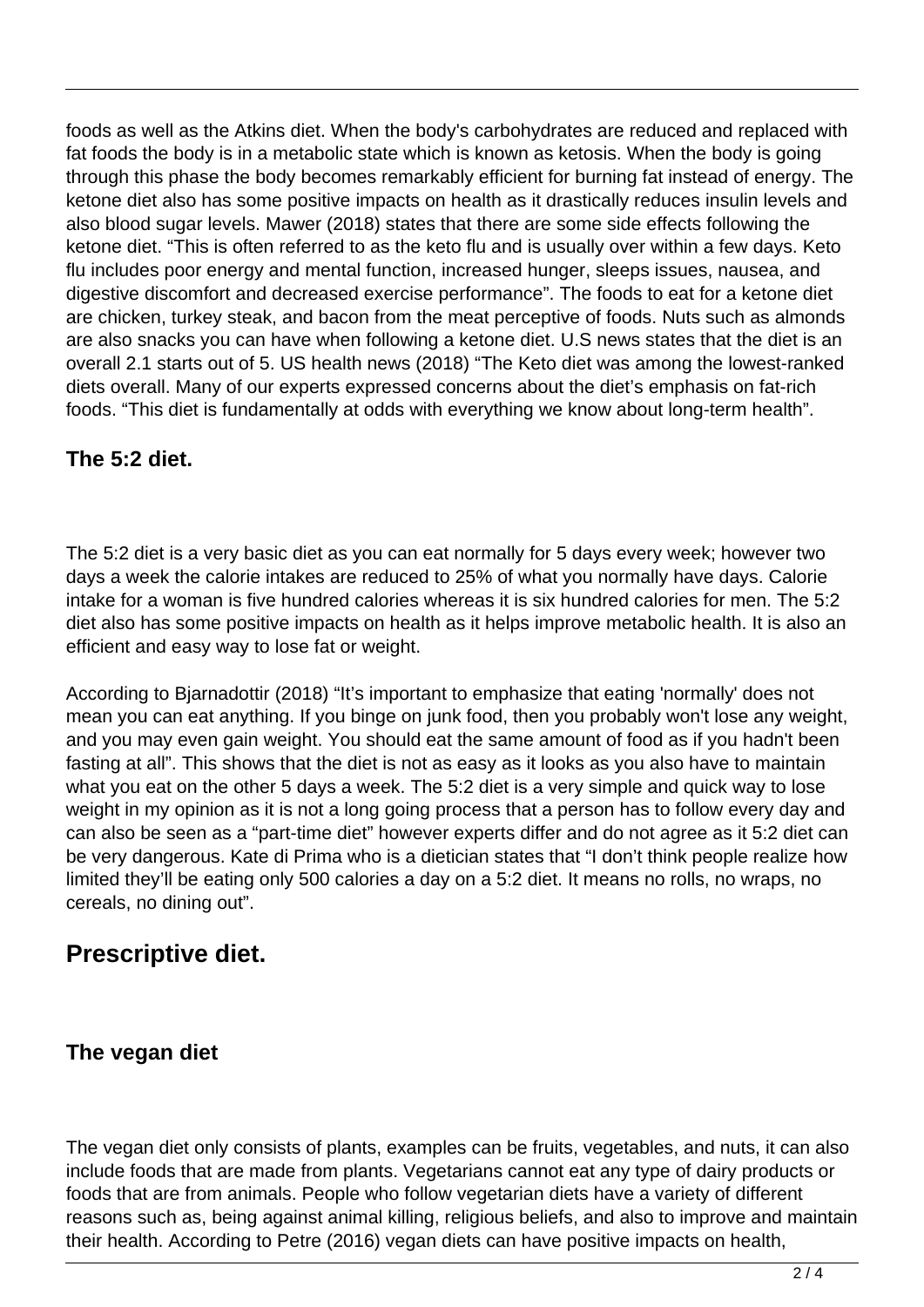foods as well as the Atkins diet. When the body's carbohydrates are reduced and replaced with fat foods the body is in a metabolic state which is known as ketosis. When the body is going through this phase the body becomes remarkably efficient for burning fat instead of energy. The ketone diet also has some positive impacts on health as it drastically reduces insulin levels and also blood sugar levels. Mawer (2018) states that there are some side effects following the ketone diet. "This is often referred to as the keto flu and is usually over within a few days. Keto flu includes poor energy and mental function, increased hunger, sleeps issues, nausea, and digestive discomfort and decreased exercise performance". The foods to eat for a ketone diet are chicken, turkey steak, and bacon from the meat perceptive of foods. Nuts such as almonds are also snacks you can have when following a ketone diet. U.S news states that the diet is an overall 2.1 starts out of 5. US health news (2018) "The Keto diet was among the lowest-ranked diets overall. Many of our experts expressed concerns about the diet's emphasis on fat-rich foods. "This diet is fundamentally at odds with everything we know about long-term health".

#### **The 5:2 diet.**

The 5:2 diet is a very basic diet as you can eat normally for 5 days every week; however two days a week the calorie intakes are reduced to 25% of what you normally have days. Calorie intake for a woman is five hundred calories whereas it is six hundred calories for men. The 5:2 diet also has some positive impacts on health as it helps improve metabolic health. It is also an efficient and easy way to lose fat or weight.

According to Bjarnadottir (2018) "It's important to emphasize that eating 'normally' does not mean you can eat anything. If you binge on junk food, then you probably won't lose any weight, and you may even gain weight. You should eat the same amount of food as if you hadn't been fasting at all". This shows that the diet is not as easy as it looks as you also have to maintain what you eat on the other 5 days a week. The 5:2 diet is a very simple and quick way to lose weight in my opinion as it is not a long going process that a person has to follow every day and can also be seen as a "part-time diet" however experts differ and do not agree as it 5:2 diet can be very dangerous. Kate di Prima who is a dietician states that "I don't think people realize how limited they'll be eating only 500 calories a day on a 5:2 diet. It means no rolls, no wraps, no cereals, no dining out".

## **Prescriptive diet.**

#### **The vegan diet**

The vegan diet only consists of plants, examples can be fruits, vegetables, and nuts, it can also include foods that are made from plants. Vegetarians cannot eat any type of dairy products or foods that are from animals. People who follow vegetarian diets have a variety of different reasons such as, being against animal killing, religious beliefs, and also to improve and maintain their health. According to Petre (2016) vegan diets can have positive impacts on health,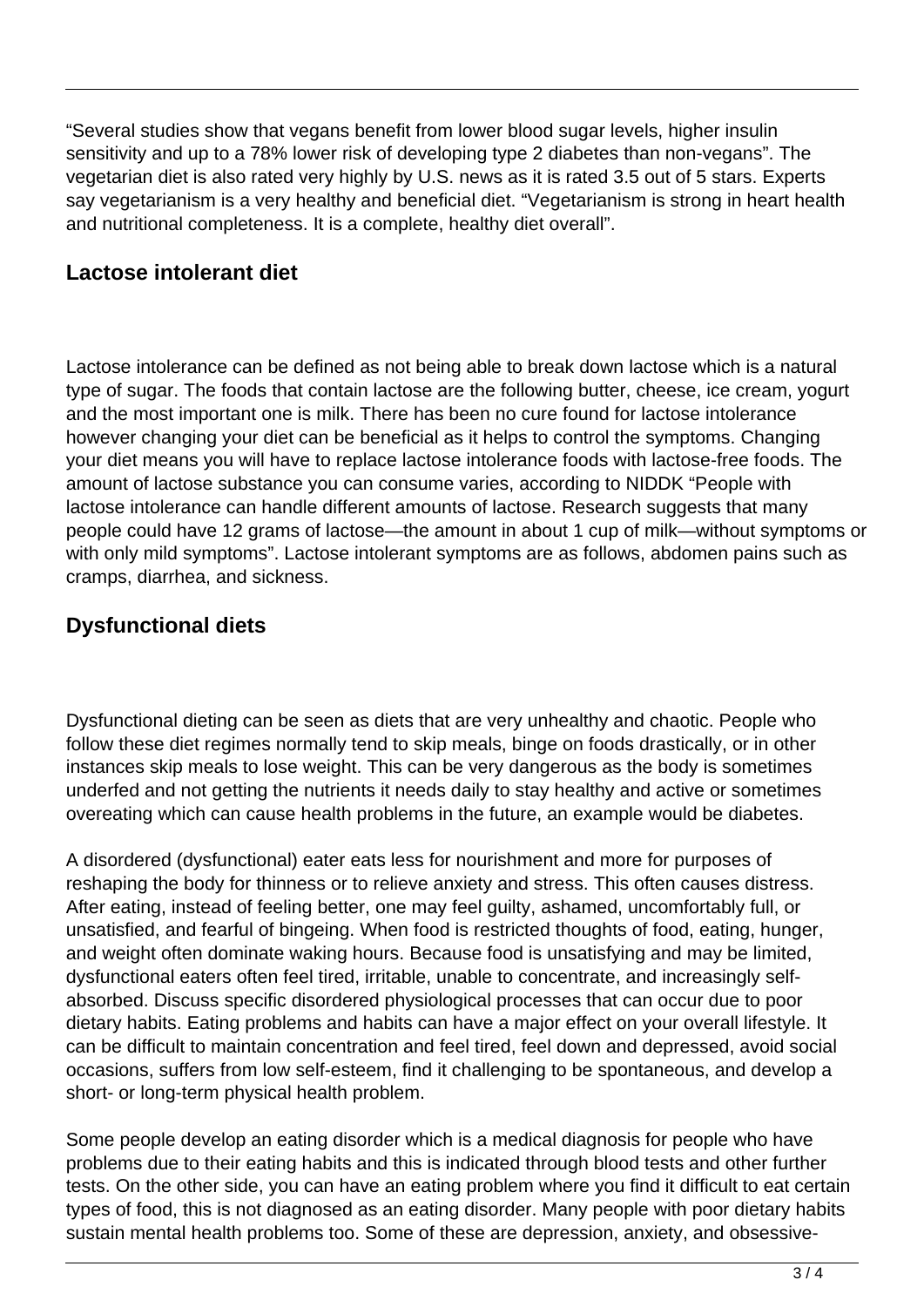"Several studies show that vegans benefit from lower blood sugar levels, higher insulin sensitivity and up to a 78% lower risk of developing type 2 diabetes than non-vegans". The vegetarian diet is also rated very highly by U.S. news as it is rated 3.5 out of 5 stars. Experts say vegetarianism is a very healthy and beneficial diet. "Vegetarianism is strong in heart health and nutritional completeness. It is a complete, healthy diet overall".

#### **Lactose intolerant diet**

Lactose intolerance can be defined as not being able to break down lactose which is a natural type of sugar. The foods that contain lactose are the following butter, cheese, ice cream, yogurt and the most important one is milk. There has been no cure found for lactose intolerance however changing your diet can be beneficial as it helps to control the symptoms. Changing your diet means you will have to replace lactose intolerance foods with lactose-free foods. The amount of lactose substance you can consume varies, according to NIDDK "People with lactose intolerance can handle different amounts of lactose. Research suggests that many people could have 12 grams of lactose—the amount in about 1 cup of milk—without symptoms or with only mild symptoms". Lactose intolerant symptoms are as follows, abdomen pains such as cramps, diarrhea, and sickness.

#### **Dysfunctional diets**

Dysfunctional dieting can be seen as diets that are very unhealthy and chaotic. People who follow these diet regimes normally tend to skip meals, binge on foods drastically, or in other instances skip meals to lose weight. This can be very dangerous as the body is sometimes underfed and not getting the nutrients it needs daily to stay healthy and active or sometimes overeating which can cause health problems in the future, an example would be diabetes.

A disordered (dysfunctional) eater eats less for nourishment and more for purposes of reshaping the body for thinness or to relieve anxiety and stress. This often causes distress. After eating, instead of feeling better, one may feel guilty, ashamed, uncomfortably full, or unsatisfied, and fearful of bingeing. When food is restricted thoughts of food, eating, hunger, and weight often dominate waking hours. Because food is unsatisfying and may be limited, dysfunctional eaters often feel tired, irritable, unable to concentrate, and increasingly selfabsorbed. Discuss specific disordered physiological processes that can occur due to poor dietary habits. Eating problems and habits can have a major effect on your overall lifestyle. It can be difficult to maintain concentration and feel tired, feel down and depressed, avoid social occasions, suffers from low self-esteem, find it challenging to be spontaneous, and develop a short- or long-term physical health problem.

Some people develop an eating disorder which is a medical diagnosis for people who have problems due to their eating habits and this is indicated through blood tests and other further tests. On the other side, you can have an eating problem where you find it difficult to eat certain types of food, this is not diagnosed as an eating disorder. Many people with poor dietary habits sustain mental health problems too. Some of these are depression, anxiety, and obsessive-